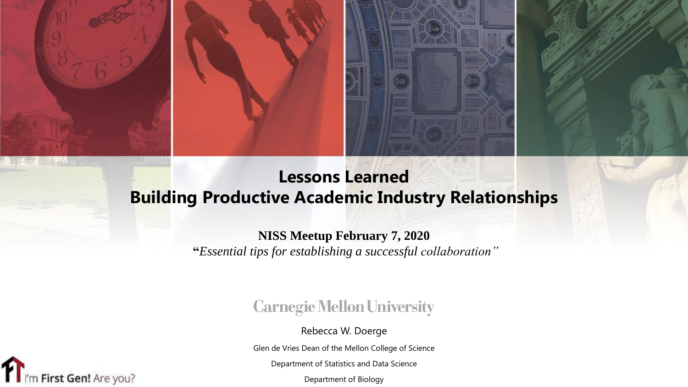

## **Lessons Learned Building Productive Academic Industry Relationships**

#### **NISS Meetup February 7, 2020**

**"***Essential tips for establishing a successful collaboration"*

### **Carnegie Mellon University**

Rebecca W. Doerge

Glen de Vries Dean of the Mellon College of Science

Department of Statistics and Data Science

Department of Biology

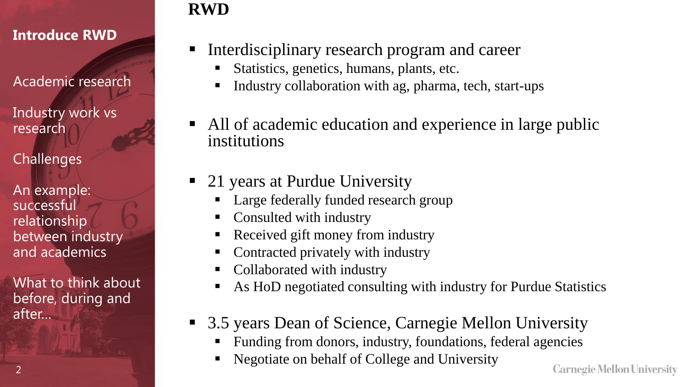Academic research

Industry work vs research

**Challenges** 

 $\mathcal{P}$ 

An example: successful relationship between industry and academics

What to think about before, during and after…

## **RWD**

- Interdisciplinary research program and career
	- Statistics, genetics, humans, plants, etc.
	- Industry collaboration with ag, pharma, tech, start-ups
- All of academic education and experience in large public institutions
- 21 years at Purdue University
	- Large federally funded research group
	- Consulted with industry
	- Received gift money from industry
	- Contracted privately with industry
	- Collaborated with industry
	- As HoD negotiated consulting with industry for Purdue Statistics
- 3.5 years Dean of Science, Carnegie Mellon University
	- Funding from donors, industry, foundations, federal agencies
	- Negotiate on behalf of College and University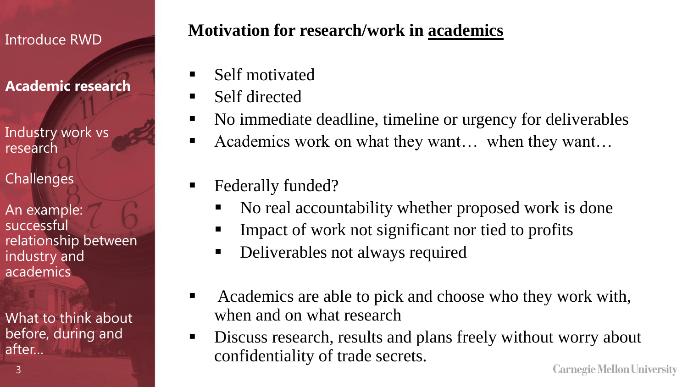### **Academic research**

Industry work vs research

**Challenges** 

3

An example: successful relationship between industry and academics

What to think about before, during and after…

## **Motivation for research/work in academics**

- Self motivated
- Self directed
- No immediate deadline, timeline or urgency for deliverables
- Academics work on what they want… when they want…
- Federally funded?
	- No real accountability whether proposed work is done
	- **EXTERN** Impact of work not significant nor tied to profits
	- Deliverables not always required
- Academics are able to pick and choose who they work with, when and on what research
- Discuss research, results and plans freely without worry about confidentiality of trade secrets.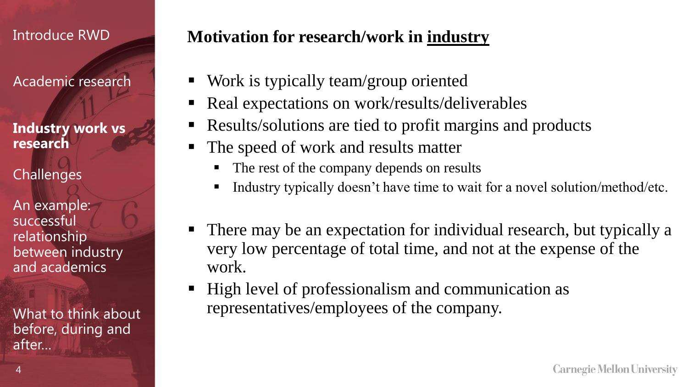Academic research

**Industry work vs research**

**Challenges** 

4

An example: successful relationship between industry and academics

What to think about before, during and after…

### **Motivation for research/work in industry**

- Work is typically team/group oriented
- Real expectations on work/results/deliverables
- Results/solutions are tied to profit margins and products
- The speed of work and results matter
	- The rest of the company depends on results
	- Industry typically doesn't have time to wait for a novel solution/method/etc.
- There may be an expectation for individual research, but typically a very low percentage of total time, and not at the expense of the work.
- High level of professionalism and communication as representatives/employees of the company.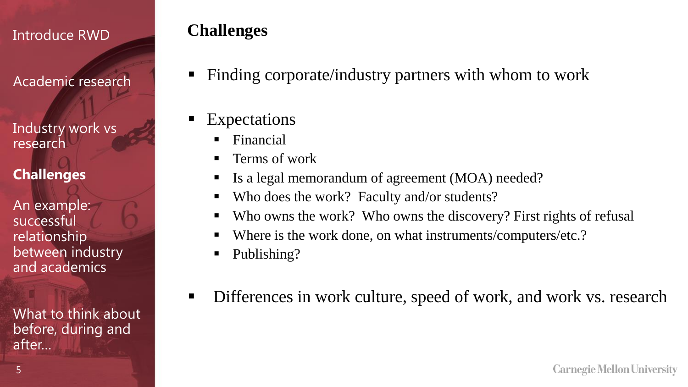Academic research

Industry work vs research

**Challenges**

An example: successful relationship between industry and academics

What to think about before, during and after…

## **Challenges**

- Finding corporate/industry partners with whom to work
- Expectations
	- $\blacksquare$  Financial
	- Terms of work
	- Is a legal memorandum of agreement (MOA) needed?
	- Who does the work? Faculty and/or students?
	- Who owns the work? Who owns the discovery? First rights of refusal
	- Where is the work done, on what instruments/computers/etc.?
	- Publishing?
- **EXECUTE:** Differences in work culture, speed of work, and work vs. research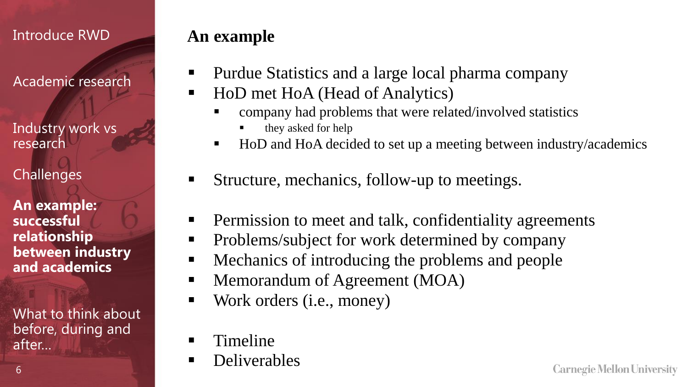Academic research

Industry work vs research

**Challenges** 

6

**An example: successful relationship between industry and academics**

What to think about before, during and after…

## **An example**

- Purdue Statistics and a large local pharma company
- HoD met HoA (Head of Analytics)
	- company had problems that were related/involved statistics
		- they asked for help
	- HoD and HoA decided to set up a meeting between industry/academics
- Structure, mechanics, follow-up to meetings.
- **•** Permission to meet and talk, confidentiality agreements
- Problems/subject for work determined by company
- Mechanics of introducing the problems and people
- Memorandum of Agreement (MOA)
- Work orders (*i.e.*, money)
- Timeline
- **•** Deliverables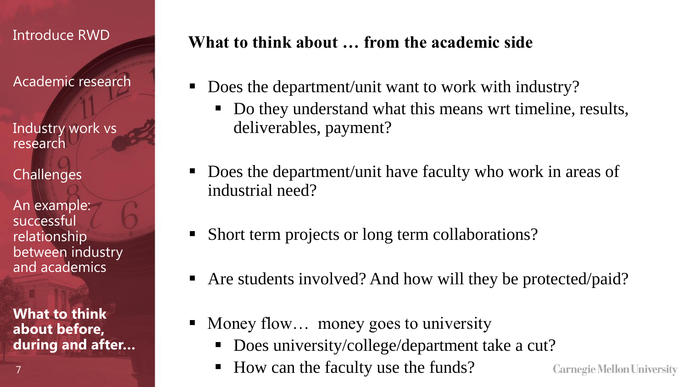Academic research

Industry work vs research

**Challenges** 

An example: successful relationship between industry and academics

**What to think about before, during and after…**

7

## **What to think about … from the academic side**

- Does the department/unit want to work with industry?
	- Do they understand what this means wrt timeline, results, deliverables, payment?
- Does the department/unit have faculty who work in areas of industrial need?
- Short term projects or long term collaborations?
- Are students involved? And how will they be protected/paid?
- Money flow... money goes to university
	- Does university/college/department take a cut?
	- How can the faculty use the funds?